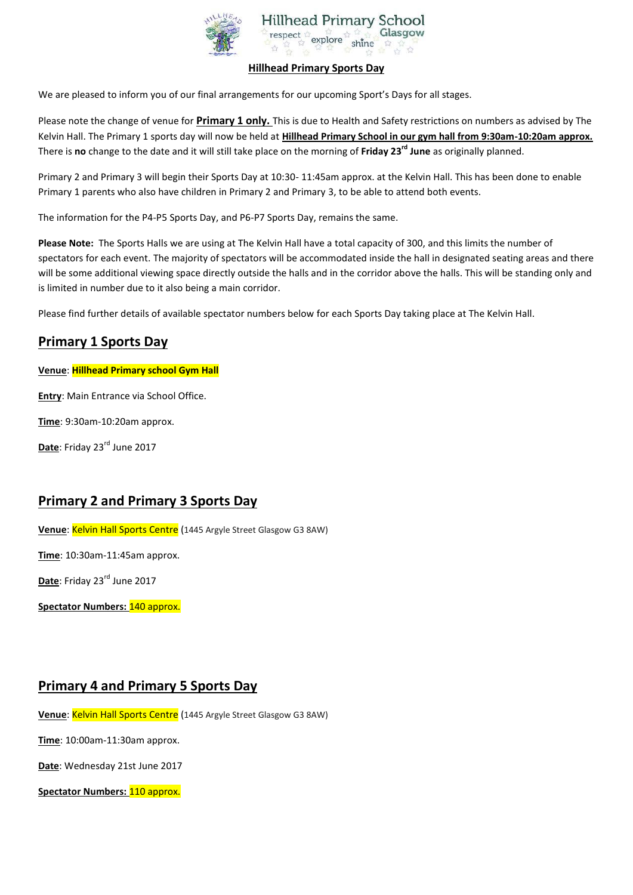

#### **Hillhead Primary Sports Day**

We are pleased to inform you of our final arrangements for our upcoming Sport's Days for all stages.

Please note the change of venue for **Primary 1 only.** This is due to Health and Safety restrictions on numbers as advised by The Kelvin Hall. The Primary 1 sports day will now be held at **Hillhead Primary School in our gym hall from 9:30am-10:20am approx.**  There is **no** change to the date and it will still take place on the morning of **Friday 23rd June** as originally planned.

Primary 2 and Primary 3 will begin their Sports Day at 10:30- 11:45am approx. at the Kelvin Hall. This has been done to enable Primary 1 parents who also have children in Primary 2 and Primary 3, to be able to attend both events.

The information for the P4-P5 Sports Day, and P6-P7 Sports Day, remains the same.

**Please Note:** The Sports Halls we are using at The Kelvin Hall have a total capacity of 300, and this limits the number of spectators for each event. The majority of spectators will be accommodated inside the hall in designated seating areas and there will be some additional viewing space directly outside the halls and in the corridor above the halls. This will be standing only and is limited in number due to it also being a main corridor.

Please find further details of available spectator numbers below for each Sports Day taking place at The Kelvin Hall.

## **Primary 1 Sports Day**

**Venue**: **Hillhead Primary school Gym Hall**

**Entry**: Main Entrance via School Office.

**Time**: 9:30am-10:20am approx.

Date: Friday 23<sup>rd</sup> June 2017

### **Primary 2 and Primary 3 Sports Day**

**Venue**: Kelvin Hall Sports Centre (1445 Argyle Street Glasgow G3 8AW)

**Time**: 10:30am-11:45am approx.

Date: Friday 23<sup>rd</sup> June 2017

**Spectator Numbers:** 140 approx.

### **Primary 4 and Primary 5 Sports Day**

Venue: Kelvin Hall Sports Centre (1445 Argyle Street Glasgow G3 8AW)

**Time**: 10:00am-11:30am approx.

**Date**: Wednesday 21st June 2017

**Spectator Numbers:** 110 approx.